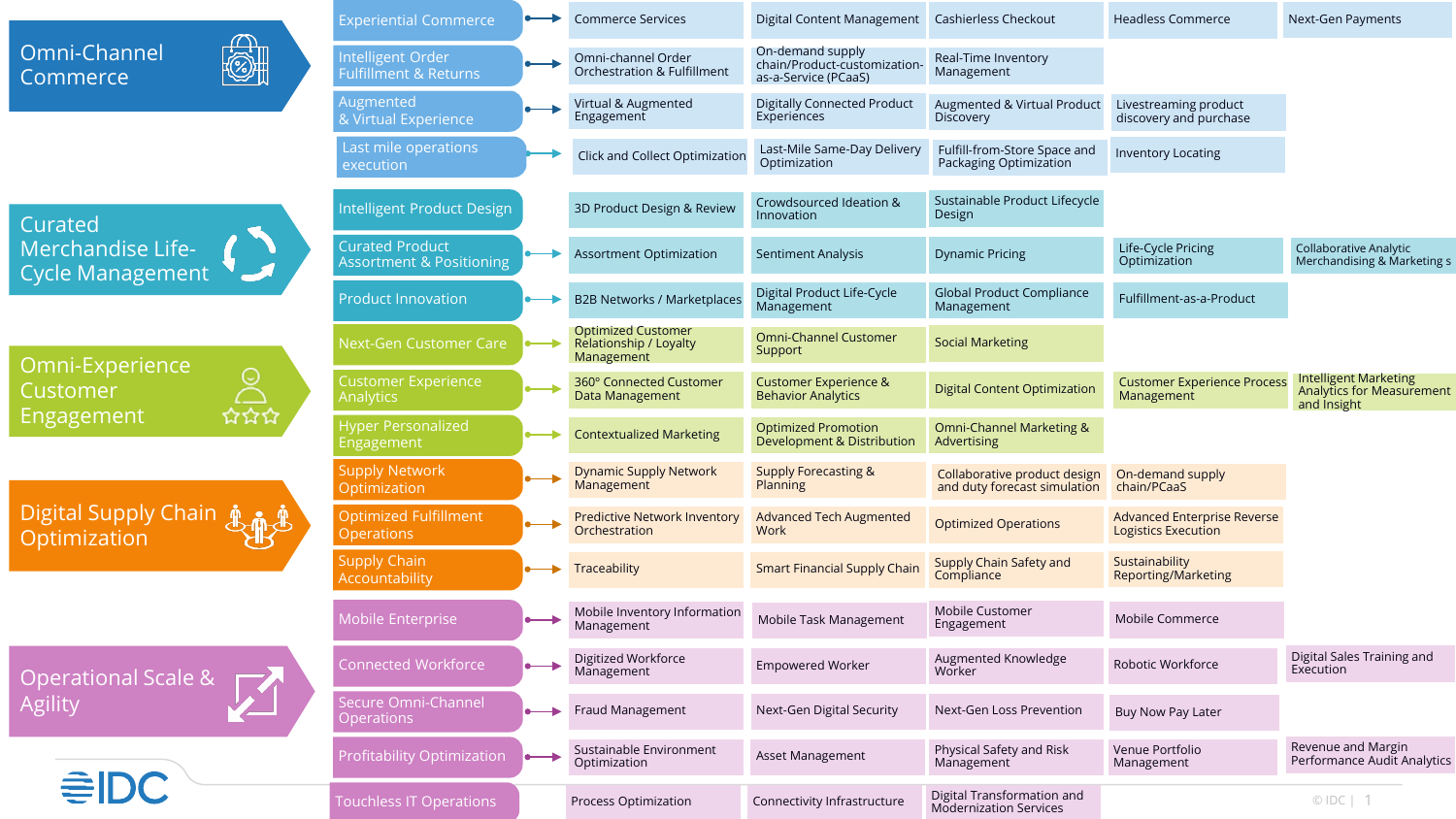|                                                                                 |                   | <b>Experiential Commerce</b>                                  |           | <b>Commerce Services</b>                                          | Digital Content Management Cashierless Checkout                          |                                                              | <b>Headless Commerce</b>                                  | Next-Gen Payments                                                               |
|---------------------------------------------------------------------------------|-------------------|---------------------------------------------------------------|-----------|-------------------------------------------------------------------|--------------------------------------------------------------------------|--------------------------------------------------------------|-----------------------------------------------------------|---------------------------------------------------------------------------------|
| Omni-Channel<br>Commerce                                                        | $\textcircled{c}$ | Intelligent Order<br><b>Fulfillment &amp; Returns</b>         |           | Omni-channel Order<br><b>Orchestration &amp; Fulfillment</b>      | On-demand supply<br>chain/Product-customization-<br>as-a-Service (PCaaS) | Real-Time Inventory<br>Management                            |                                                           |                                                                                 |
|                                                                                 |                   | <b>Augmented</b><br>& Virtual Experience                      |           | Virtual & Augmented<br>Engagement                                 | <b>Digitally Connected Product</b><br>Experiences                        | Augmented & Virtual Product<br>Discovery                     | Livestreaming product<br>discovery and purchase           |                                                                                 |
|                                                                                 |                   | Last mile operations<br>execution                             |           | Click and Collect Optimization                                    | Last-Mile Same-Day Delivery<br>Optimization                              | Fulfill-from-Store Space and<br>Packaging Optimization       | <b>Inventory Locating</b>                                 |                                                                                 |
| Curated<br>Merchandise Life-<br>Cycle Management<br>Omni-Experience<br>Customer |                   | Intelligent Product Design                                    |           | 3D Product Design & Review                                        | Crowdsourced Ideation &<br>Innovation                                    | Sustainable Product Lifecycle<br>Design                      |                                                           |                                                                                 |
|                                                                                 |                   | <b>Curated Product</b><br><b>Assortment &amp; Positioning</b> |           | <b>Assortment Optimization</b>                                    | <b>Sentiment Analysis</b>                                                | <b>Dynamic Pricing</b>                                       | Life-Cycle Pricing<br>Optimization                        | Collaborative Analytic<br>Merchandising & Marketing s                           |
|                                                                                 |                   | <b>Product Innovation</b>                                     |           | <b>B2B Networks / Marketplaces</b>                                | Digital Product Life-Cycle<br>Management                                 | <b>Global Product Compliance</b><br>Management               | Fulfillment-as-a-Product                                  |                                                                                 |
|                                                                                 |                   | <b>Next-Gen Customer Care</b>                                 |           | <b>Optimized Customer</b><br>Relationship / Loyalty<br>Management | <b>Omni-Channel Customer</b><br>Support                                  | <b>Social Marketing</b>                                      |                                                           |                                                                                 |
|                                                                                 |                   | <b>Customer Experience</b><br><b>Analytics</b>                |           | 360° Connected Customer<br>Data Management                        | <b>Customer Experience &amp;</b><br><b>Behavior Analytics</b>            | <b>Digital Content Optimization</b>                          | <b>Customer Experience Process</b><br>Management          | <b>Intelligent Marketing</b><br><b>Analytics for Measurement</b><br>and Insight |
| Engagement                                                                      | ជជជ               | <b>Hyper Personalized</b><br>Engagement                       |           | <b>Contextualized Marketing</b>                                   | <b>Optimized Promotion</b><br>Development & Distribution                 | Omni-Channel Marketing &<br>Advertising                      |                                                           |                                                                                 |
| Digital Supply Chain                                                            |                   | <b>Supply Network</b><br>Optimization                         |           | <b>Dynamic Supply Network</b><br>Management                       | <b>Supply Forecasting &amp;</b><br>Planning                              | Collaborative product design<br>and duty forecast simulation | On-demand supply<br>chain/PCaaS                           |                                                                                 |
|                                                                                 |                   | <b>Optimized Fulfillment</b><br><b>Operations</b>             |           | <b>Predictive Network Inventory</b><br>Orchestration              | <b>Advanced Tech Augmented</b><br>Work                                   | <b>Optimized Operations</b>                                  | <b>Advanced Enterprise Reverse</b><br>Logistics Execution |                                                                                 |
|                                                                                 |                   | <b>Supply Chain</b><br>Accountability                         |           | Traceability                                                      | <b>Smart Financial Supply Chain</b>                                      | Supply Chain Safety and<br>Compliance                        | Sustainability<br>Reporting/Marketing                     |                                                                                 |
|                                                                                 |                   | Mobile Enterprise                                             |           | Mobile Inventory Information<br>Management                        | Mobile Task Management                                                   | Mobile Customer<br>Engagement                                | Mobile Commerce                                           |                                                                                 |
| Operational Scale &<br><b>Agility</b>                                           |                   | <b>Connected Workforce</b>                                    |           | Digitized Workforce<br>Management                                 | <b>Empowered Worker</b>                                                  | Augmented Knowledge<br>Worker                                | Robotic Workforce                                         | Digital Sales Training and<br>Execution                                         |
|                                                                                 |                   | Secure Omni-Channel<br><b>Operations</b>                      |           | Fraud Management                                                  | Next-Gen Digital Security                                                | Next-Gen Loss Prevention                                     | Buy Now Pay Later                                         |                                                                                 |
|                                                                                 |                   | Profitability Optimization                                    | $\bullet$ | Sustainable Environment<br>Optimization                           | Asset Management                                                         | Physical Safety and Risk<br>Management                       | Venue Portfolio<br>Management                             | Revenue and Margin<br>Performance Audit Analytics                               |
| €IDC                                                                            |                   | <b>Touchless IT Operations</b>                                |           | Process Optimization                                              | Connectivity Infrastructure                                              | Digital Transformation and<br><b>Modernization Services</b>  |                                                           | $ODC$   1                                                                       |